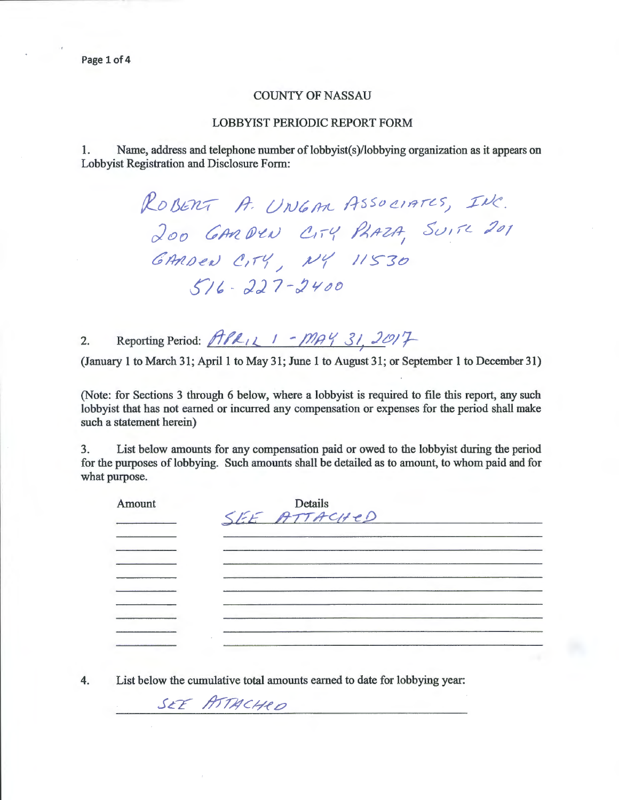#### COUNTY OF NASSAU

#### LOBBYIST PERIODIC REPORT FORM

1. Name, address and telephone number of lobbyist(s)/lobbying organization as it appears on Lobbyist Registration and Disclosure Form:

> ROBERT A. UNGAR ASSOCIATES, INC. 200 GARDEN CITY PLAZA, SUITE 201 GARDEN CITY, NY 11530  $5/6 - 227 - 2400$

2. Reporting Period: *ft PR<sub>LI</sub>* 1 - *MAY* 31, 2017

(January 1 to March 31; April I to May 31; June 1 to August 31; or September 1 to December 31)

(Note: for Sections 3 through 6 below, where a lobbyist is required to file this report, any such lobbyist that has not earned or incurred any compensation or expenses for the period shall make such a statement herein)

3. List below amounts for any compensation paid or owed to the lobbyist during the period for the purposes of lobbying. Such amounts shall be detailed as to amount, to whom paid and for what purpose.

| Amount | Details      |  |
|--------|--------------|--|
|        | SEE ATTACHED |  |
|        |              |  |
|        |              |  |
|        |              |  |
|        |              |  |
|        |              |  |
|        |              |  |
|        |              |  |
|        |              |  |
|        |              |  |
|        |              |  |

SEE ATTACHED

4. List below the cumulative total amounts earned to date for lobbying year: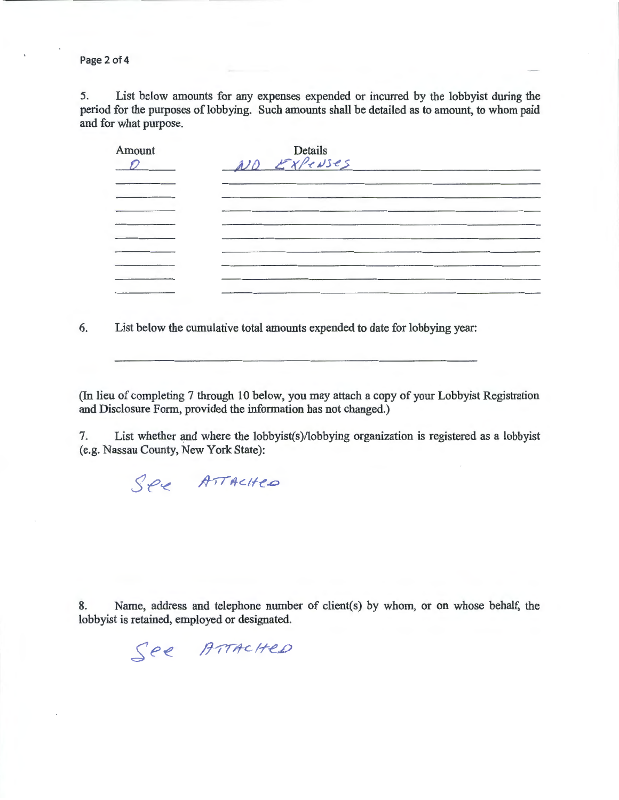Page 2 of 4

5. List below amounts for any expenses expended or incurred by the lobbyist during the period for the purposes of lobbying. Such amounts shall be detailed as to amount, to whom paid and for what purpose.

| Amount | Details<br>AUD EXPENSES |  |
|--------|-------------------------|--|
|        |                         |  |
|        |                         |  |
|        |                         |  |
|        |                         |  |

6. List below the cumulative total amounts expended to date for lobbying year:

(In lieu of completing 7 through 10 below, you may attach a copy of your Lobbyist Registration and Disclosure Form, provided the information has not changed.)

7. List whether and where the lobbyist(s)/lobbying organization is registered as a lobbyist (e.g. Nassau County, New York State):

SPE ATTACHED

See ATTACHED

8. Name, address and telephone number of client(s) by whom, or on whose behalf, the lobbyist is retained, employed or designated.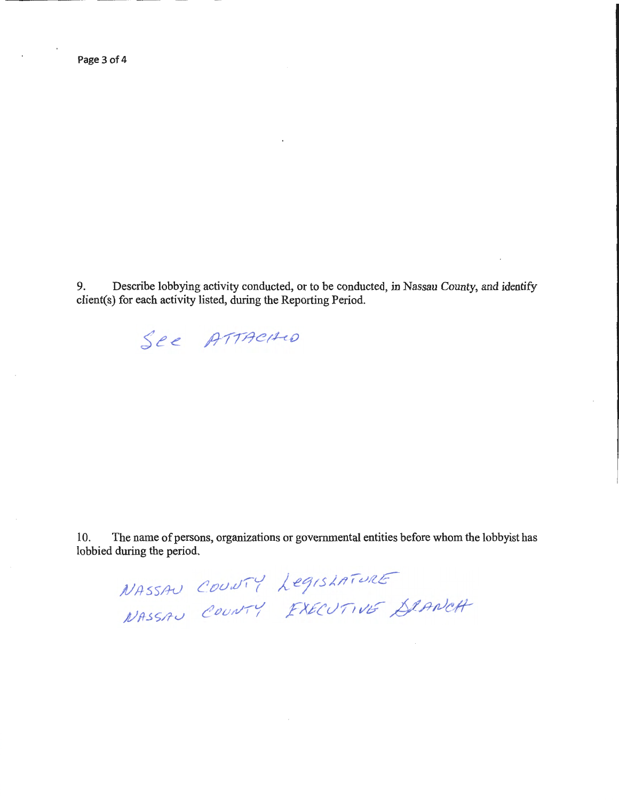$\bar{.}$ 

9. Describe lobbying activity conducted, or to be conducted, in Nassau County, and identify client(s) for each activity listed, during the Reporting Period.



10. The name of persons, organizations or governmental entities before whom the lobbyist has lobbied during the period.

 ${C}$ *OUNTY LegisLATURE* COUNTY FXECUTIVE SLANCH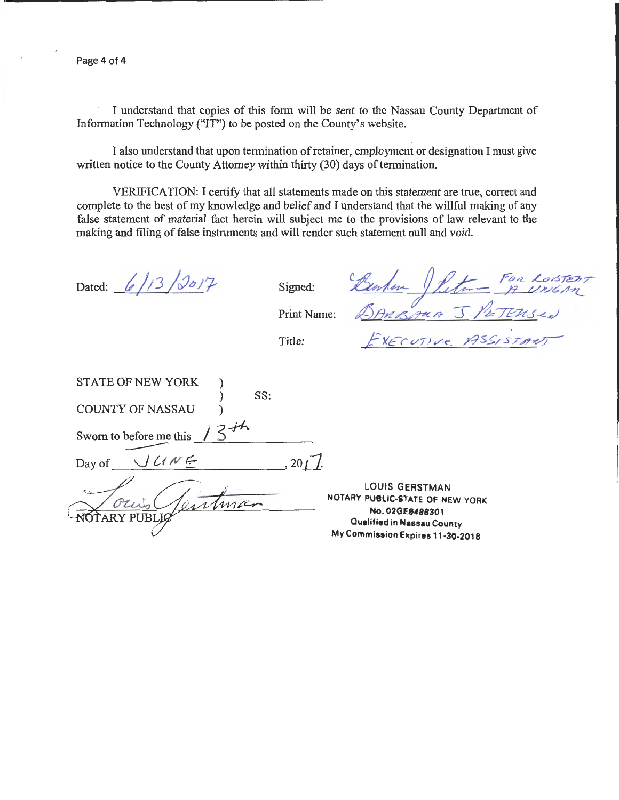Page 4 of 4

I understand that copies of this form will be sent to the Nassau County Department of Information Technology ("IT") to be posted on the County's website.

I also understand that upon termination of retainer, employment or designation I must give written notice to the County Attorney within thirty (30) days of termination.

VERIFICATION: I certify that all statements made on this statement are true, correct and complete to the best of my knowledge and belief and I understand that the willful making of any false statement of material fact herein will subject me to the provisions of law relevant to the making and filing of false instruments and will render such statement null and void.

STATE OF NEW YORK

Dated:  $6/13/3017$  Signed:  $\frac{p}{m}$  Signed:  $\frac{p}{m}$  for Loister Print Name:  $\triangle$ ANBANA J /ETENSed

*f YEcvnv-e..* y.:JS~/S/~

Title:

| <b>STATE OF NEW YORK</b> |  |
|--------------------------|--|
| SS:                      |  |
| <b>COUNTY OF NASSAU</b>  |  |
|                          |  |
| Sworn to before me this  |  |
|                          |  |
| JUNE<br>Day of           |  |
|                          |  |
|                          |  |
|                          |  |
|                          |  |
|                          |  |

LOUIS GERSTMAN NOTARY PUBLIC-STATE OF NEW YORK No. 02GE8488301 Oueflfied in **Neaseu** County My Commission Expires 11-30·2018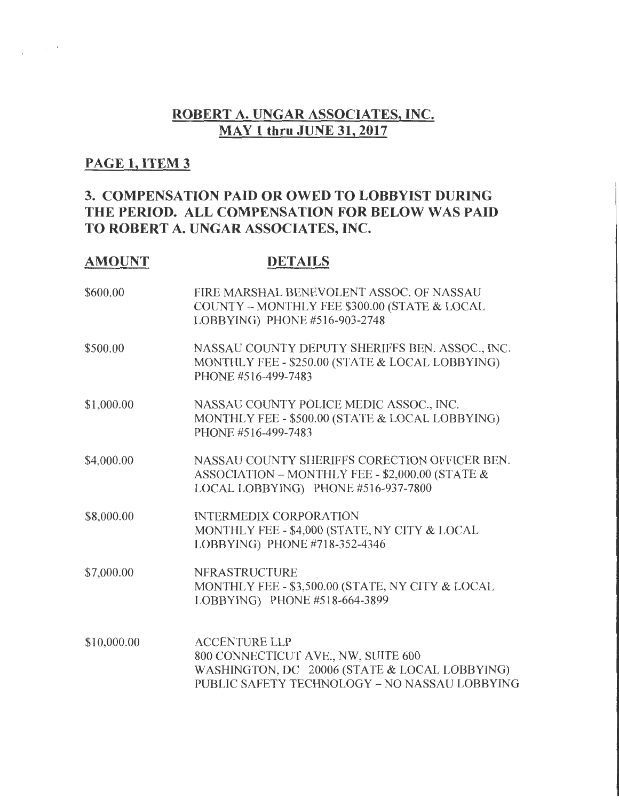# **ROBERT A. UNGAR ASSOCIATES,** INC. **MAY 1 thru JUNE 31, 2017**

# **PAGE 1, ITEM 3**

# **3. COMPENSATION PAID OR OWED TO LOBBYIST DURING THE PERIOD. ALL COMPENSATION FOR BELOW WAS PAID TO ROBERT A. UNGAR ASSOCIATES, INC.**

### **AMOUNT**

 $\frac{1}{2}$  ,  $\frac{1}{2}$  ,  $\frac{1}{2}$  ,  $\frac{1}{2}$  ,  $\frac{1}{2}$ 

## **DETAILS**

| \$600.00    | FIRE MARSHAL BENEVOLENT ASSOC. OF NASSAU<br>COUNTY - MONTHLY FEE \$300.00 (STATE & LOCAL<br>LOBBYING) PHONE #516-903-2748                                     |
|-------------|---------------------------------------------------------------------------------------------------------------------------------------------------------------|
| \$500.00    | NASSAU COUNTY DEPUTY SHERIFFS BEN. ASSOC., INC.<br>MONTHLY FEE - \$250.00 (STATE & LOCAL LOBBYING)<br>PHONE #516-499-7483                                     |
| \$1,000.00  | NASSAU COUNTY POLICE MEDIC ASSOC., INC.<br>MONTHLY FEE - \$500.00 (STATE & LOCAL LOBBYING)<br>PHONE #516-499-7483                                             |
| \$4,000.00  | NASSAU COUNTY SHERIFFS CORECTION OFFICER BEN.<br>ASSOCIATION - MONTHLY FEE - \$2,000.00 (STATE &<br>LOCAL LOBBYING) PHONE #516-937-7800                       |
| \$8,000.00  | <b>INTERMEDIX CORPORATION</b><br>MONTHLY FEE - \$4,000 (STATE, NY CITY & LOCAL<br>LOBBYING) PHONE #718-352-4346                                               |
| \$7,000.00  | <b>NFRASTRUCTURE</b><br>MONTHLY FEE - \$3,500.00 (STATE, NY CITY & LOCAL<br>LOBBYING) PHONE #518-664-3899                                                     |
| \$10,000.00 | <b>ACCENTURE LLP</b><br>800 CONNECTICUT AVE., NW, SUITE 600<br>WASHINGTON, DC 20006 (STATE & LOCAL LOBBYING)<br>PUBLIC SAFETY TECHNOLOGY - NO NASSAU LOBBYING |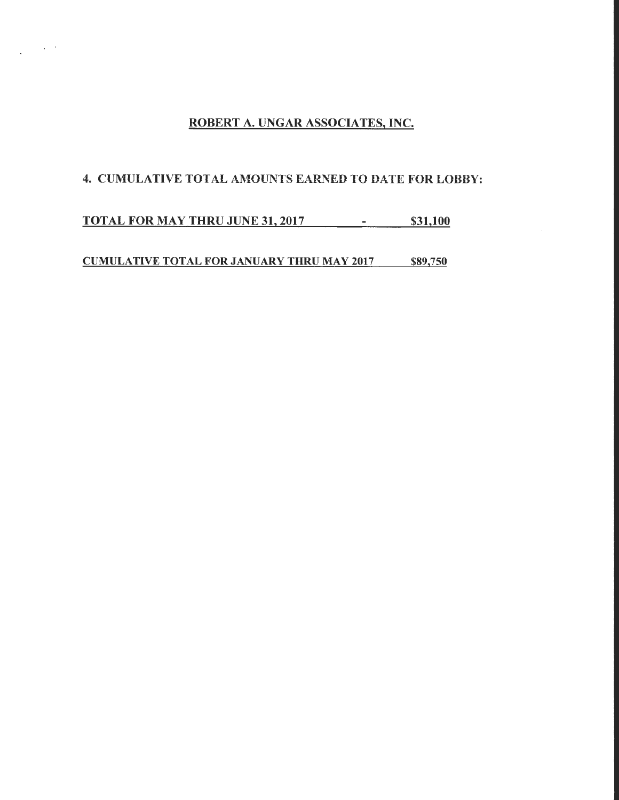## ROBERT A. UNGAR ASSOCIATES, INC.

## 4. CUMULATIVE TOTAL AMOUNTS EARNED TO DATE FOR LOBBY:

**TOTAL FOR MAY THRU JUNE 31, 2017** - \$31,100

 $\sim$   $\sim$ 

 $\ddot{\phantom{a}}$ 

CUMULATIVE TOTAL FOR JANUARY THRU MAY 2017 \$89,750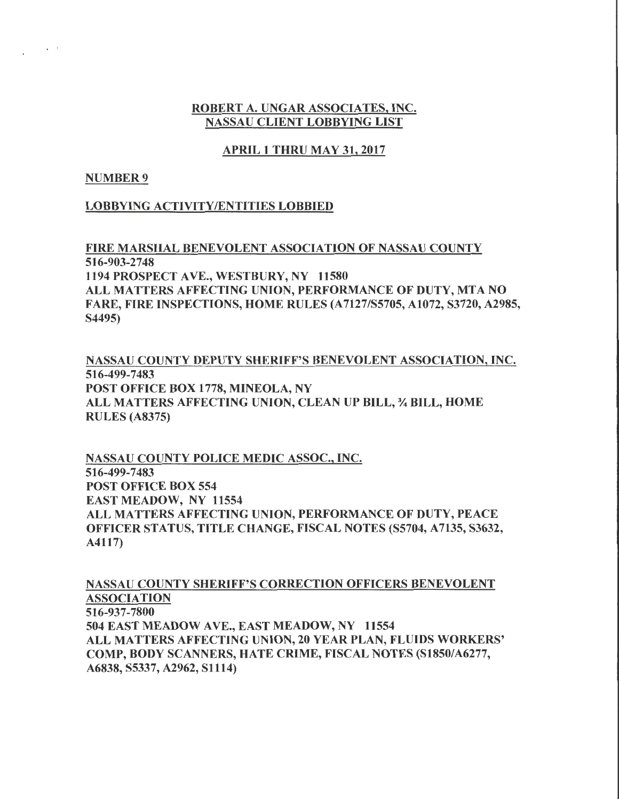### ROBERT A. UNGAR ASSOCIATES, INC. NASSAU CLIENT LOBBYING LIST

### APRIL 1 THRU MAY 31,2017

### NUMBER 9

 $\lambda$  and

### LOBBYING ACTIVITY/ENTITIES LOBBIED

FIRE MARSHAL BENEVOLENT ASSOCIATION OF NASSAU COUNTY 516-903-2748 1194 PROSPECT AVE., WESTBURY, NY 11580 ALL MATTERS AFFECTING UNION, PERFORMANCE OF DUTY, MTA NO FARE, FIRE INSPECTIONS, HOME RULES (A7127/S5705, A1072, S3720, A2985, S4495)

NASSAU COUNTY DEPUTY SHERIFF'S BENEVOLENT ASSOCIATION, INC. 516-499-7483 POST OFFICE BOX 1778, MINEOLA, NY ALL MATTERS AFFECTING UNION, CLEAN UP BILL,% BILL, HOME RULES (A8375)

NASSAU COUNTY POLICE MEDIC ASSOC., INC. 516-499-7483 POST OFFICE BOX 554 EAST MEADOW, NY 11554 ALL MATTERS AFFECTING UNION, PERFORMANCE OF DUTY, PEACE OFFICER STATUS, TITLE CHANGE, FISCAL NOTES (S5704, A7135, S3632, A4117)

NASSAU COUNTY SHERIFF'S CORRECTION OFFICERS BENEVOLENT ASSOCIATION 516-937-7800 504 EAST MEADOW AVE., EAST MEADOW, NY 11554 ALL MATTERS AFFECTING UNION, 20 YEAR PLAN, FLUIDS WORKERS' COMP, BODY SCANNERS, HATE CRIME, FISCAL NOTES (S1850/A6277, A6838,S5337,A2962,S1114)